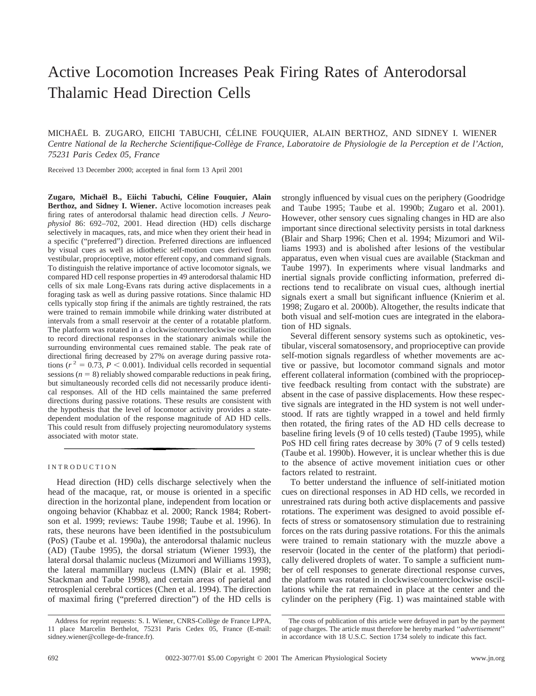# Active Locomotion Increases Peak Firing Rates of Anterodorsal Thalamic Head Direction Cells

MICHAËL B. ZUGARO, EIICHI TABUCHI, CÉLINE FOUQUIER, ALAIN BERTHOZ, AND SIDNEY I. WIENER *Centre National de la Recherche Scientifique-Colle`ge de France, Laboratoire de Physiologie de la Perception et de l'Action, 75231 Paris Cedex 05, France*

Received 13 December 2000; accepted in final form 13 April 2001

Zugaro, Michaël B., Eiichi Tabuchi, Céline Fouquier, Alain **Berthoz, and Sidney I. Wiener.** Active locomotion increases peak firing rates of anterodorsal thalamic head direction cells. *J Neurophysiol* 86: 692–702, 2001. Head direction (HD) cells discharge selectively in macaques, rats, and mice when they orient their head in a specific ("preferred") direction. Preferred directions are influenced by visual cues as well as idiothetic self-motion cues derived from vestibular, proprioceptive, motor efferent copy, and command signals. To distinguish the relative importance of active locomotor signals, we compared HD cell response properties in 49 anterodorsal thalamic HD cells of six male Long-Evans rats during active displacements in a foraging task as well as during passive rotations. Since thalamic HD cells typically stop firing if the animals are tightly restrained, the rats were trained to remain immobile while drinking water distributed at intervals from a small reservoir at the center of a rotatable platform. The platform was rotated in a clockwise/counterclockwise oscillation to record directional responses in the stationary animals while the surrounding environmental cues remained stable. The peak rate of directional firing decreased by 27% on average during passive rotations ( $r^2 = 0.73$ ,  $P < 0.001$ ). Individual cells recorded in sequential sessions  $(n = 8)$  reliably showed comparable reductions in peak firing, but simultaneously recorded cells did not necessarily produce identical responses. All of the HD cells maintained the same preferred directions during passive rotations. These results are consistent with the hypothesis that the level of locomotor activity provides a statedependent modulation of the response magnitude of AD HD cells. This could result from diffusely projecting neuromodulatory systems associated with motor state.

#### INTRODUCTION

Head direction (HD) cells discharge selectively when the head of the macaque, rat, or mouse is oriented in a specific direction in the horizontal plane, independent from location or ongoing behavior (Khabbaz et al. 2000; Ranck 1984; Robertson et al. 1999; reviews: Taube 1998; Taube et al. 1996). In rats, these neurons have been identified in the postsubiculum (PoS) (Taube et al. 1990a), the anterodorsal thalamic nucleus (AD) (Taube 1995), the dorsal striatum (Wiener 1993), the lateral dorsal thalamic nucleus (Mizumori and Williams 1993), the lateral mammillary nucleus (LMN) (Blair et al. 1998; Stackman and Taube 1998), and certain areas of parietal and retrosplenial cerebral cortices (Chen et al. 1994). The direction of maximal firing ("preferred direction") of the HD cells is strongly influenced by visual cues on the periphery (Goodridge and Taube 1995; Taube et al. 1990b; Zugaro et al. 2001). However, other sensory cues signaling changes in HD are also important since directional selectivity persists in total darkness (Blair and Sharp 1996; Chen et al. 1994; Mizumori and Williams 1993) and is abolished after lesions of the vestibular apparatus, even when visual cues are available (Stackman and Taube 1997). In experiments where visual landmarks and inertial signals provide conflicting information, preferred directions tend to recalibrate on visual cues, although inertial signals exert a small but significant influence (Knierim et al. 1998; Zugaro et al. 2000b). Altogether, the results indicate that both visual and self-motion cues are integrated in the elaboration of HD signals.

Several different sensory systems such as optokinetic, vestibular, visceral somatosensory, and proprioceptive can provide self-motion signals regardless of whether movements are active or passive, but locomotor command signals and motor efferent collateral information (combined with the proprioceptive feedback resulting from contact with the substrate) are absent in the case of passive displacements. How these respective signals are integrated in the HD system is not well understood. If rats are tightly wrapped in a towel and held firmly then rotated, the firing rates of the AD HD cells decrease to baseline firing levels (9 of 10 cells tested) (Taube 1995), while PoS HD cell firing rates decrease by 30% (7 of 9 cells tested) (Taube et al. 1990b). However, it is unclear whether this is due to the absence of active movement initiation cues or other factors related to restraint.

To better understand the influence of self-initiated motion cues on directional responses in AD HD cells, we recorded in unrestrained rats during both active displacements and passive rotations. The experiment was designed to avoid possible effects of stress or somatosensory stimulation due to restraining forces on the rats during passive rotations. For this the animals were trained to remain stationary with the muzzle above a reservoir (located in the center of the platform) that periodically delivered droplets of water. To sample a sufficient number of cell responses to generate directional response curves, the platform was rotated in clockwise/counterclockwise oscillations while the rat remained in place at the center and the cylinder on the periphery (Fig. 1) was maintained stable with

Address for reprint requests: S. I. Wiener, CNRS-Collège de France LPPA, 11 place Marcelin Berthelot, 75231 Paris Cedex 05, France (E-mail: sidney.wiener@college-de-france.fr).

The costs of publication of this article were defrayed in part by the payment of page charges. The article must therefore be hereby marked ''*advertisement*'' in accordance with 18 U.S.C. Section 1734 solely to indicate this fact.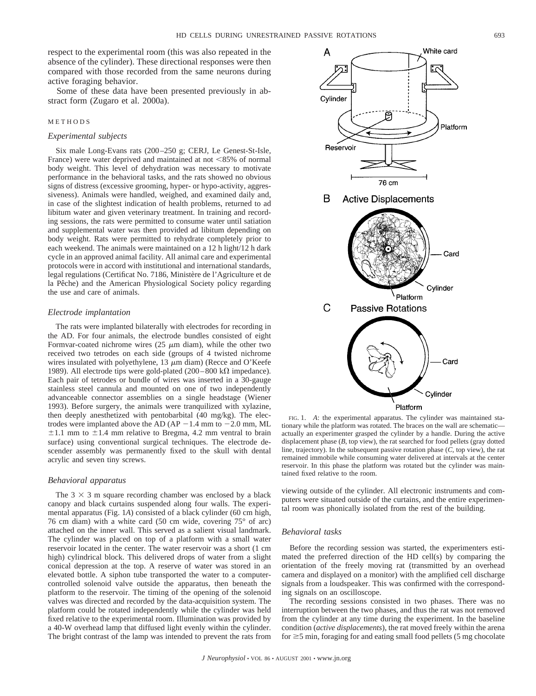respect to the experimental room (this was also repeated in the absence of the cylinder). These directional responses were then compared with those recorded from the same neurons during active foraging behavior.

Some of these data have been presented previously in abstract form (Zugaro et al. 2000a).

#### METHODS

#### *Experimental subjects*

Six male Long-Evans rats (200–250 g; CERJ, Le Genest-St-Isle, France) were water deprived and maintained at not  $\leq 85\%$  of normal body weight. This level of dehydration was necessary to motivate performance in the behavioral tasks, and the rats showed no obvious signs of distress (excessive grooming, hyper- or hypo-activity, aggressiveness). Animals were handled, weighed, and examined daily and, in case of the slightest indication of health problems, returned to ad libitum water and given veterinary treatment. In training and recording sessions, the rats were permitted to consume water until satiation and supplemental water was then provided ad libitum depending on body weight. Rats were permitted to rehydrate completely prior to each weekend. The animals were maintained on a 12 h light/12 h dark cycle in an approved animal facility. All animal care and experimental protocols were in accord with institutional and international standards, legal regulations (Certificat No. 7186, Ministère de l'Agriculture et de la Pêche) and the American Physiological Society policy regarding the use and care of animals.

### *Electrode implantation*

The rats were implanted bilaterally with electrodes for recording in the AD. For four animals, the electrode bundles consisted of eight Formvar-coated nichrome wires (25  $\mu$ m diam), while the other two received two tetrodes on each side (groups of 4 twisted nichrome wires insulated with polyethylene,  $13 \mu m$  diam) (Recce and O'Keefe 1989). All electrode tips were gold-plated (200–800 k $\Omega$  impedance). Each pair of tetrodes or bundle of wires was inserted in a 30-gauge stainless steel cannula and mounted on one of two independently advanceable connector assemblies on a single headstage (Wiener 1993). Before surgery, the animals were tranquilized with xylazine, then deeply anesthetized with pentobarbital (40 mg/kg). The electrodes were implanted above the AD (AP  $-1.4$  mm to  $-2.0$  mm, ML  $\pm 1.1$  mm to  $\pm 1.4$  mm relative to Bregma, 4.2 mm ventral to brain surface) using conventional surgical techniques. The electrode descender assembly was permanently fixed to the skull with dental acrylic and seven tiny screws.

#### *Behavioral apparatus*

The  $3 \times 3$  m square recording chamber was enclosed by a black canopy and black curtains suspended along four walls. The experimental apparatus (Fig. 1*A*) consisted of a black cylinder (60 cm high, 76 cm diam) with a white card (50 cm wide, covering  $75^{\circ}$  of arc) attached on the inner wall. This served as a salient visual landmark. The cylinder was placed on top of a platform with a small water reservoir located in the center. The water reservoir was a short (1 cm high) cylindrical block. This delivered drops of water from a slight conical depression at the top. A reserve of water was stored in an elevated bottle. A siphon tube transported the water to a computercontrolled solenoid valve outside the apparatus, then beneath the platform to the reservoir. The timing of the opening of the solenoid valves was directed and recorded by the data-acquisition system. The platform could be rotated independently while the cylinder was held fixed relative to the experimental room. Illumination was provided by a 40-W overhead lamp that diffused light evenly within the cylinder. The bright contrast of the lamp was intended to prevent the rats from





FIG. 1. *A*: the experimental apparatus. The cylinder was maintained stationary while the platform was rotated. The braces on the wall are schematic actually an experimenter grasped the cylinder by a handle. During the active displacement phase (*B,* top view), the rat searched for food pellets (gray dotted line, trajectory). In the subsequent passive rotation phase (*C,* top view), the rat remained immobile while consuming water delivered at intervals at the center reservoir. In this phase the platform was rotated but the cylinder was maintained fixed relative to the room.

viewing outside of the cylinder. All electronic instruments and computers were situated outside of the curtains, and the entire experimental room was phonically isolated from the rest of the building.

#### *Behavioral tasks*

Before the recording session was started, the experimenters estimated the preferred direction of the HD cell(s) by comparing the orientation of the freely moving rat (transmitted by an overhead camera and displayed on a monitor) with the amplified cell discharge signals from a loudspeaker. This was confirmed with the corresponding signals on an oscilloscope.

The recording sessions consisted in two phases. There was no interruption between the two phases, and thus the rat was not removed from the cylinder at any time during the experiment. In the baseline condition (*active displacements*), the rat moved freely within the arena for  $\geq$ 5 min, foraging for and eating small food pellets (5 mg chocolate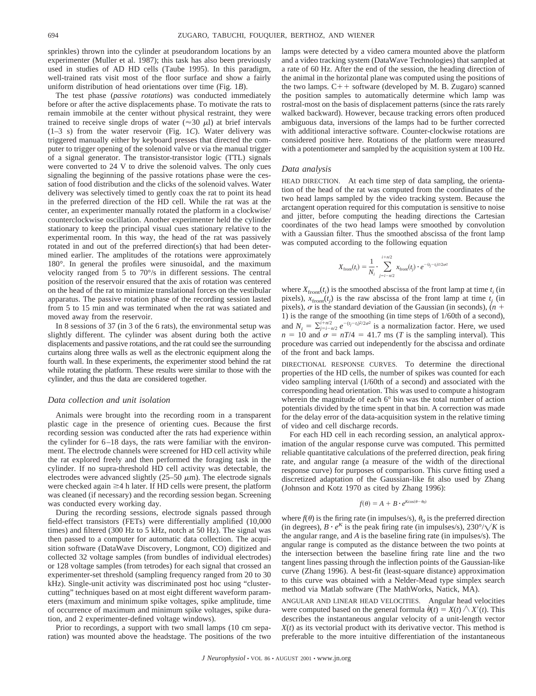sprinkles) thrown into the cylinder at pseudorandom locations by an experimenter (Muller et al. 1987); this task has also been previously used in studies of AD HD cells (Taube 1995). In this paradigm, well-trained rats visit most of the floor surface and show a fairly uniform distribution of head orientations over time (Fig. 1*B*).

The test phase (*passive rotations*) was conducted immediately before or after the active displacements phase. To motivate the rats to remain immobile at the center without physical restraint, they were trained to receive single drops of water ( $\approx$ 30  $\mu$ l) at brief intervals (1–3 s) from the water reservoir (Fig. 1*C*). Water delivery was triggered manually either by keyboard presses that directed the computer to trigger opening of the solenoid valve or via the manual trigger of a signal generator. The transistor-transistor logic (TTL) signals were converted to 24 V to drive the solenoid valves. The only cues signaling the beginning of the passive rotations phase were the cessation of food distribution and the clicks of the solenoid valves. Water delivery was selectively timed to gently coax the rat to point its head in the preferred direction of the HD cell. While the rat was at the center, an experimenter manually rotated the platform in a clockwise/ counterclockwise oscillation. Another experimenter held the cylinder stationary to keep the principal visual cues stationary relative to the experimental room. In this way, the head of the rat was passively rotated in and out of the preferred direction(s) that had been determined earlier. The amplitudes of the rotations were approximately 180°. In general the profiles were sinusoidal, and the maximum velocity ranged from 5 to 70°/s in different sessions. The central position of the reservoir ensured that the axis of rotation was centered on the head of the rat to minimize translational forces on the vestibular apparatus. The passive rotation phase of the recording session lasted from 5 to 15 min and was terminated when the rat was satiated and moved away from the reservoir.

In 8 sessions of 37 (in 3 of the 6 rats), the environmental setup was slightly different. The cylinder was absent during both the active displacements and passive rotations, and the rat could see the surrounding curtains along three walls as well as the electronic equipment along the fourth wall. In these experiments, the experimenter stood behind the rat while rotating the platform. These results were similar to those with the cylinder, and thus the data are considered together.

#### *Data collection and unit isolation*

Animals were brought into the recording room in a transparent plastic cage in the presence of orienting cues. Because the first recording session was conducted after the rats had experience within the cylinder for 6–18 days, the rats were familiar with the environment. The electrode channels were screened for HD cell activity while the rat explored freely and then performed the foraging task in the cylinder. If no supra-threshold HD cell activity was detectable, the electrodes were advanced slightly  $(25-50 \mu m)$ . The electrode signals were checked again  $\geq$  4 h later. If HD cells were present, the platform was cleaned (if necessary) and the recording session began. Screening was conducted every working day.

During the recording sessions, electrode signals passed through field-effect transistors (FETs) were differentially amplified (10,000 times) and filtered (300 Hz to 5 kHz, notch at 50 Hz). The signal was then passed to a computer for automatic data collection. The acquisition software (DataWave Discovery, Longmont, CO) digitized and collected 32 voltage samples (from bundles of individual electrodes) or 128 voltage samples (from tetrodes) for each signal that crossed an experimenter-set threshold (sampling frequency ranged from 20 to 30 kHz). Single-unit activity was discriminated post hoc using "clustercutting" techniques based on at most eight different waveform parameters (maximum and minimum spike voltages, spike amplitude, time of occurrence of maximum and minimum spike voltages, spike duration, and 2 experimenter-defined voltage windows).

Prior to recordings, a support with two small lamps (10 cm separation) was mounted above the headstage. The positions of the two lamps were detected by a video camera mounted above the platform and a video tracking system (DataWave Technologies) that sampled at a rate of 60 Hz. After the end of the session, the heading direction of the animal in the horizontal plane was computed using the positions of the two lamps.  $C++$  software (developed by M. B. Zugaro) scanned the position samples to automatically determine which lamp was rostral-most on the basis of displacement patterns (since the rats rarely walked backward). However, because tracking errors often produced ambiguous data, inversions of the lamps had to be further corrected with additional interactive software. Counter-clockwise rotations are considered positive here. Rotations of the platform were measured with a potentiometer and sampled by the acquisition system at 100 Hz.

#### *Data analysis*

HEAD DIRECTION. At each time step of data sampling, the orientation of the head of the rat was computed from the coordinates of the two head lamps sampled by the video tracking system. Because the arctangent operation required for this computation is sensitive to noise and jitter, before computing the heading directions the Cartesian coordinates of the two head lamps were smoothed by convolution with a Gaussian filter. Thus the smoothed abscissa of the front lamp was computed according to the following equation

$$
X_{\text{front}}(t_i) = \frac{1}{N_i} \cdot \sum_{j=i-n/2}^{i+n/2} x_{\text{front}}(t_j) \cdot e^{-(t_j-t_i)^2/2\sigma^2}
$$

where  $X_{front}(t_i)$  is the smoothed abscissa of the front lamp at time  $t_i$  (in pixels),  $x_{front}(t_j)$  is the raw abscissa of the front lamp at time  $t_j$  (in pixels),  $\sigma$  is the standard deviation of the Gaussian (in seconds),  $(n +$ 1) is the range of the smoothing (in time steps of 1/60th of a second), and  $N_i = \sum_{j=i-n/2}^{i+n/2} e^{-(t_j-t_i)^2/2\sigma^2}$  is a normalization factor. Here, we used  $n = 10$  and  $\sigma = nT/4 = 41.7$  ms (*T* is the sampling interval). This procedure was carried out independently for the abscissa and ordinate of the front and back lamps.

DIRECTIONAL RESPONSE CURVES. To determine the directional properties of the HD cells, the number of spikes was counted for each video sampling interval (1/60th of a second) and associated with the corresponding head orientation. This was used to compute a histogram wherein the magnitude of each 6° bin was the total number of action potentials divided by the time spent in that bin. A correction was made for the delay error of the data-acquisition system in the relative timing of video and cell discharge records.

For each HD cell in each recording session, an analytical approximation of the angular response curve was computed. This permitted reliable quantitative calculations of the preferred direction, peak firing rate, and angular range (a measure of the width of the directional response curve) for purposes of comparison. This curve fitting used a discretized adaptation of the Gaussian-like fit also used by Zhang (Johnson and Kotz 1970 as cited by Zhang 1996):

$$
f(\theta) = A + B \cdot e^{K\cos(\theta - \theta_0)}
$$

where  $f(\theta)$  is the firing rate (in impulses/s),  $\theta_0$  is the preferred direction (in degrees),  $B \cdot e^{K}$  is the peak firing rate (in impulses/s), 230°/ $\sqrt{K}$  is the angular range, and *A* is the baseline firing rate (in impulses/s). The angular range is computed as the distance between the two points at the intersection between the baseline firing rate line and the two tangent lines passing through the inflection points of the Gaussian-like curve (Zhang 1996). A best-fit (least-square distance) approximation to this curve was obtained with a Nelder-Mead type simplex search method via Matlab software (The MathWorks, Natick, MA).

ANGULAR AND LINEAR HEAD VELOCITIES. Angular head velocities were computed based on the general formula  $\hat{\theta}(t) = X(t) \bigwedge X'(t)$ . This describes the instantaneous angular velocity of a unit-length vector  $X(t)$  as its vectorial product with its derivative vector. This method is preferable to the more intuitive differentiation of the instantaneous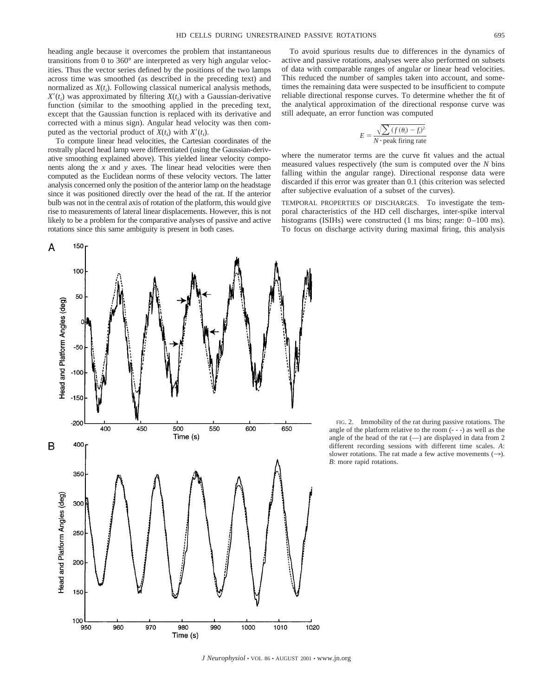heading angle because it overcomes the problem that instantaneous transitions from 0 to 360° are interpreted as very high angular velocities. Thus the vector series defined by the positions of the two lamps across time was smoothed (as described in the preceding text) and normalized as  $X(t_i)$ . Following classical numerical analysis methods,  $X'(t_i)$  was approximated by filtering  $X(t_i)$  with a Gaussian-derivative function (similar to the smoothing applied in the preceding text, except that the Gaussian function is replaced with its derivative and corrected with a minus sign). Angular head velocity was then computed as the vectorial product of  $X(t_i)$  with  $X'(t_i)$ .

To compute linear head velocities, the Cartesian coordinates of the rostrally placed head lamp were differentiated (using the Gaussian-derivative smoothing explained above). This yielded linear velocity components along the *x* and *y* axes. The linear head velocities were then computed as the Euclidean norms of these velocity vectors. The latter analysis concerned only the position of the anterior lamp on the headstage since it was positioned directly over the head of the rat. If the anterior bulb was not in the central axis of rotation of the platform, this would give rise to measurements of lateral linear displacements. However, this is not likely to be a problem for the comparative analyses of passive and active rotations since this same ambiguity is present in both cases.



To avoid spurious results due to differences in the dynamics of active and passive rotations, analyses were also performed on subsets of data with comparable ranges of angular or linear head velocities. This reduced the number of samples taken into account, and sometimes the remaining data were suspected to be insufficient to compute reliable directional response curves. To determine whether the fit of the analytical approximation of the directional response curve was still adequate, an error function was computed

$$
E = \frac{\sqrt{\sum (f(\theta_i) - f_i)^2}}{N \cdot \text{peak firing rate}}
$$

where the numerator terms are the curve fit values and the actual measured values respectively (the sum is computed over the *N* bins falling within the angular range). Directional response data were discarded if this error was greater than 0.1 (this criterion was selected after subjective evaluation of a subset of the curves).

TEMPORAL PROPERTIES OF DISCHARGES. To investigate the temporal characteristics of the HD cell discharges, inter-spike interval histograms (ISIHs) were constructed (1 ms bins; range: 0–100 ms). To focus on discharge activity during maximal firing, this analysis

FIG. 2. Immobility of the rat during passive rotations. The angle of the platform relative to the room (- - -) as well as the angle of the head of the rat (—) are displayed in data from 2 different recording sessions with different time scales. *A*: slower rotations. The rat made a few active movements  $(\rightarrow)$ . *B*: more rapid rotations.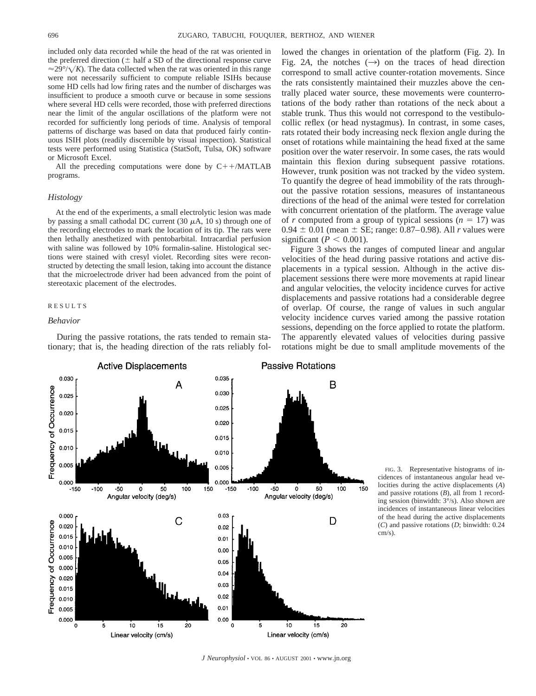included only data recorded while the head of the rat was oriented in the preferred direction ( $\pm$  half a SD of the directional response curve  $\approx$ 29°/ $\sqrt{K}$ ). The data collected when the rat was oriented in this range were not necessarily sufficient to compute reliable ISIHs because some HD cells had low firing rates and the number of discharges was insufficient to produce a smooth curve or because in some sessions where several HD cells were recorded, those with preferred directions near the limit of the angular oscillations of the platform were not recorded for sufficiently long periods of time. Analysis of temporal patterns of discharge was based on data that produced fairly continuous ISIH plots (readily discernible by visual inspection). Statistical tests were performed using Statistica (StatSoft, Tulsa, OK) software or Microsoft Excel.

All the preceding computations were done by  $C++/MATLAB$ programs.

# *Histology*

At the end of the experiments, a small electrolytic lesion was made by passing a small cathodal DC current (30  $\mu$ A, 10 s) through one of the recording electrodes to mark the location of its tip. The rats were then lethally anesthetized with pentobarbital. Intracardial perfusion with saline was followed by 10% formalin-saline. Histological sections were stained with cresyl violet. Recording sites were reconstructed by detecting the small lesion, taking into account the distance that the microelectrode driver had been advanced from the point of stereotaxic placement of the electrodes.

#### RESULTS

#### *Behavior*

During the passive rotations, the rats tended to remain stationary; that is, the heading direction of the rats reliably followed the changes in orientation of the platform (Fig. 2). In Fig. 2A, the notches  $(\rightarrow)$  on the traces of head direction correspond to small active counter-rotation movements. Since the rats consistently maintained their muzzles above the centrally placed water source, these movements were counterrotations of the body rather than rotations of the neck about a stable trunk. Thus this would not correspond to the vestibulocollic reflex (or head nystagmus). In contrast, in some cases, rats rotated their body increasing neck flexion angle during the onset of rotations while maintaining the head fixed at the same position over the water reservoir. In some cases, the rats would maintain this flexion during subsequent passive rotations. However, trunk position was not tracked by the video system. To quantify the degree of head immobility of the rats throughout the passive rotation sessions, measures of instantaneous directions of the head of the animal were tested for correlation with concurrent orientation of the platform. The average value of *r* computed from a group of typical sessions  $(n = 17)$  was  $0.94 \pm 0.01$  (mean  $\pm$  SE; range: 0.87–0.98). All *r* values were significant ( $P < 0.001$ ).

Figure 3 shows the ranges of computed linear and angular velocities of the head during passive rotations and active displacements in a typical session. Although in the active displacement sessions there were more movements at rapid linear and angular velocities, the velocity incidence curves for active displacements and passive rotations had a considerable degree of overlap. Of course, the range of values in such angular velocity incidence curves varied among the passive rotation sessions, depending on the force applied to rotate the platform. The apparently elevated values of velocities during passive rotations might be due to small amplitude movements of the



**Passive Rotations** 

FIG. 3. Representative histograms of incidences of instantaneous angular head velocities during the active displacements (*A*) and passive rotations (*B*), all from 1 recording session (binwidth: 3°/s). Also shown are incidences of instantaneous linear velocities of the head during the active displacements (*C*) and passive rotations (*D*; binwidth: 0.24 cm/s).

*J Neurophysiol* • VOL 86 • AUGUST 2001 • www.jn.org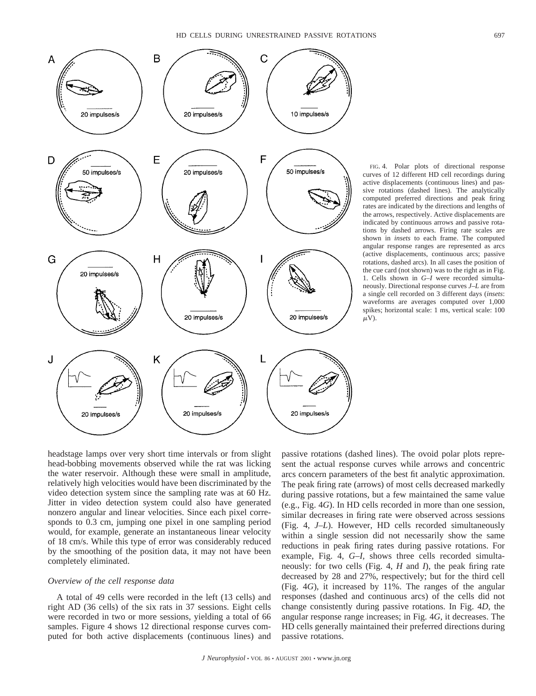

FIG. 4. Polar plots of directional response curves of 12 different HD cell recordings during active displacements (continuous lines) and passive rotations (dashed lines). The analytically computed preferred directions and peak firing rates are indicated by the directions and lengths of the arrows, respectively. Active displacements are indicated by continuous arrows and passive rotations by dashed arrows. Firing rate scales are shown in *insets* to each frame. The computed angular response ranges are represented as arcs (active displacements, continuous arcs; passive rotations, dashed arcs). In all cases the position of the cue card (not shown) was to the right as in Fig. 1. Cells shown in *G–I* were recorded simultaneously. Directional response curves *J–L* are from a single cell recorded on 3 different days (*insets*: waveforms are averages computed over 1,000 spikes; horizontal scale: 1 ms, vertical scale: 100  $\mu$ V).

headstage lamps over very short time intervals or from slight head-bobbing movements observed while the rat was licking the water reservoir. Although these were small in amplitude, relatively high velocities would have been discriminated by the video detection system since the sampling rate was at 60 Hz. Jitter in video detection system could also have generated nonzero angular and linear velocities. Since each pixel corresponds to 0.3 cm, jumping one pixel in one sampling period would, for example, generate an instantaneous linear velocity of 18 cm/s. While this type of error was considerably reduced by the smoothing of the position data, it may not have been completely eliminated.

# *Overview of the cell response data*

A total of 49 cells were recorded in the left (13 cells) and right AD (36 cells) of the six rats in 37 sessions. Eight cells were recorded in two or more sessions, yielding a total of 66 samples. Figure 4 shows 12 directional response curves computed for both active displacements (continuous lines) and

passive rotations (dashed lines). The ovoid polar plots represent the actual response curves while arrows and concentric arcs concern parameters of the best fit analytic approximation. The peak firing rate (arrows) of most cells decreased markedly during passive rotations, but a few maintained the same value (e.g., Fig. 4*G*). In HD cells recorded in more than one session, similar decreases in firing rate were observed across sessions (Fig. 4, *J–L*). However, HD cells recorded simultaneously within a single session did not necessarily show the same reductions in peak firing rates during passive rotations. For example, Fig. 4, *G–I,* shows three cells recorded simultaneously: for two cells (Fig. 4, *H* and *I*), the peak firing rate decreased by 28 and 27%, respectively; but for the third cell (Fig. 4*G*), it increased by 11%. The ranges of the angular responses (dashed and continuous arcs) of the cells did not change consistently during passive rotations. In Fig. 4*D*, the angular response range increases; in Fig. 4*G*, it decreases. The HD cells generally maintained their preferred directions during passive rotations.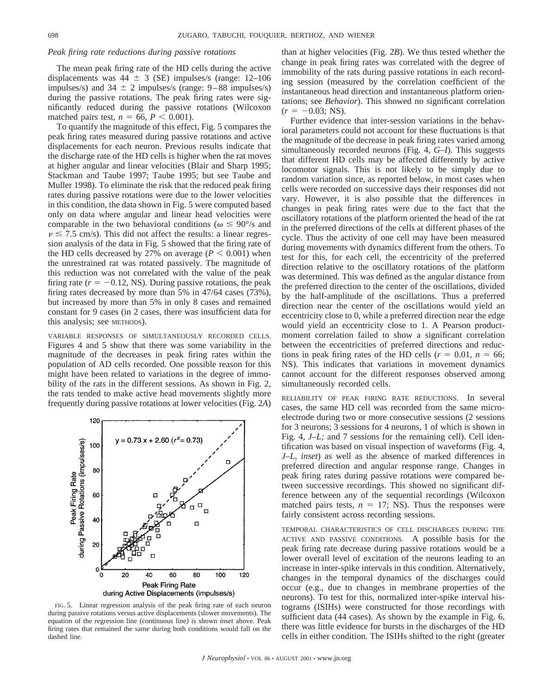## *Peak firing rate reductions during passive rotations*

The mean peak firing rate of the HD cells during the active displacements was  $44 \pm 3$  (SE) impulses/s (range: 12–106 impulses/s) and  $34 \pm 2$  impulses/s (range: 9–88 impulses/s) during the passive rotations. The peak firing rates were significantly reduced during the passive rotations (Wilcoxon matched pairs test,  $n = 66$ ,  $P < 0.001$ ).

To quantify the magnitude of this effect, Fig. 5 compares the peak firing rates measured during passive rotations and active displacements for each neuron. Previous results indicate that the discharge rate of the HD cells is higher when the rat moves at higher angular and linear velocities (Blair and Sharp 1995; Stackman and Taube 1997; Taube 1995; but see Taube and Muller 1998). To eliminate the risk that the reduced peak firing rates during passive rotations were due to the lower velocities in this condition, the data shown in Fig. 5 were computed based only on data where angular and linear head velocities were comparable in the two behavioral conditions ( $\omega \leq 90^{\circ}/s$  and  $\nu \le 7.5$  cm/s). This did not affect the results: a linear regression analysis of the data in Fig. 5 showed that the firing rate of the HD cells decreased by 27% on average  $(P < 0.001)$  when the unrestrained rat was rotated passively. The magnitude of this reduction was not correlated with the value of the peak firing rate  $(r = -0.12, NS)$ . During passive rotations, the peak firing rates decreased by more than 5% in 47/64 cases (73%), but increased by more than 5% in only 8 cases and remained constant for 9 cases (in 2 cases, there was insufficient data for this analysis; see METHODS).

VARIABLE RESPONSES OF SIMULTANEOUSLY RECORDED CELLS. Figures 4 and 5 show that there was some variability in the magnitude of the decreases in peak firing rates within the population of AD cells recorded. One possible reason for this might have been related to variations in the degree of immobility of the rats in the different sessions. As shown in Fig. 2, the rats tended to make active head movements slightly more frequently during passive rotations at lower velocities (Fig. 2*A*)



FIG. 5. Linear regression analysis of the peak firing rate of each neuron during passive rotations versus active displacements (slower movements). The equation of the regression line (continuous line*)* is shown *inset* above. Peak firing rates that remained the same during both conditions would fall on the dashed line.

than at higher velocities (Fig. 2*B*). We thus tested whether the change in peak firing rates was correlated with the degree of immobility of the rats during passive rotations in each recording session (measured by the correlation coefficient of the instantaneous head direction and instantaneous platform orientations; see *Behavior*). This showed no significant correlation  $(r = -0.03; NS)$ .

Further evidence that inter-session variations in the behavioral parameters could not account for these fluctuations is that the magnitude of the decrease in peak firing rates varied among simultaneously recorded neurons (Fig. 4, *G–I*). This suggests that different HD cells may be affected differently by active locomotor signals. This is not likely to be simply due to random variation since, as reported below, in most cases when cells were recorded on successive days their responses did not vary. However, it is also possible that the differences in changes in peak firing rates were due to the fact that the oscillatory rotations of the platform oriented the head of the rat in the preferred directions of the cells at different phases of the cycle. Thus the activity of one cell may have been measured during movements with dynamics different from the others. To test for this, for each cell, the eccentricity of the preferred direction relative to the oscillatory rotations of the platform was determined. This was defined as the angular distance from the preferred direction to the center of the oscillations, divided by the half-amplitude of the oscillations. Thus a preferred direction near the center of the oscillations would yield an eccentricity close to 0, while a preferred direction near the edge would yield an eccentricity close to 1. A Pearson productmoment correlation failed to show a significant correlation between the eccentricities of preferred directions and reductions in peak firing rates of the HD cells ( $r = 0.01$ ,  $n = 66$ ; NS). This indicates that variations in movement dynamics cannot account for the different responses observed among simultaneously recorded cells.

RELIABILITY OF PEAK FIRING RATE REDUCTIONS. In several cases, the same HD cell was recorded from the same microelectrode during two or more consecutive sessions (2 sessions for 3 neurons; 3 sessions for 4 neurons, 1 of which is shown in Fig. 4, *J–L*; and 7 sessions for the remaining cell). Cell identification was based on visual inspection of waveforms (Fig. 4, *J–L, inset*) as well as the absence of marked differences in preferred direction and angular response range. Changes in peak firing rates during passive rotations were compared between successive recordings. This showed no significant difference between any of the sequential recordings (Wilcoxon matched pairs tests,  $n = 17$ ; NS). Thus the responses were fairly consistent across recording sessions.

TEMPORAL CHARACTERISTICS OF CELL DISCHARGES DURING THE ACTIVE AND PASSIVE CONDITIONS. A possible basis for the peak firing rate decrease during passive rotations would be a lower overall level of excitation of the neurons leading to an increase in inter-spike intervals in this condition. Alternatively, changes in the temporal dynamics of the discharges could occur (e.g., due to changes in membrane properties of the neurons). To test for this, normalized inter-spike interval histograms (ISIHs) were constructed for those recordings with sufficient data (44 cases). As shown by the example in Fig. 6, there was little evidence for bursts in the discharges of the HD cells in either condition. The ISIHs shifted to the right (greater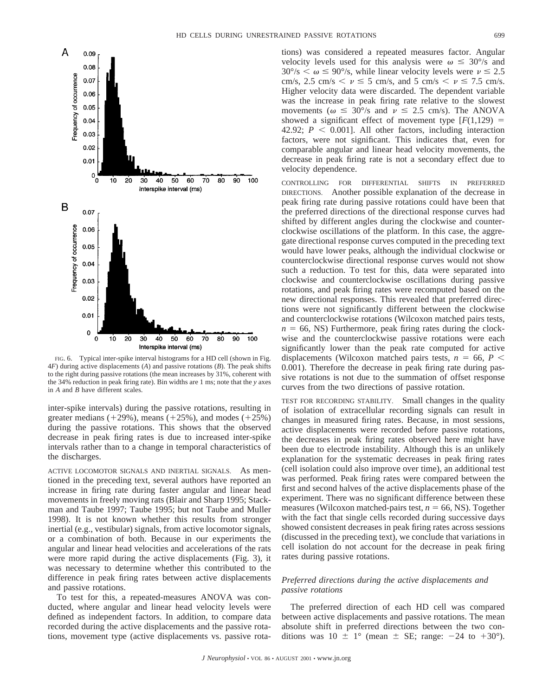

FIG. 6. Typical inter-spike interval histograms for a HD cell (shown in Fig. 4*F*) during active displacements (*A*) and passive rotations (*B*). The peak shifts to the right during passive rotations (the mean increases by 31%, coherent with the 34% reduction in peak firing rate). Bin widths are 1 ms; note that the *y* axes in *A* and *B* have different scales.

inter-spike intervals) during the passive rotations, resulting in greater medians  $(+29\%)$ , means  $(+25\%)$ , and modes  $(+25\%)$ during the passive rotations. This shows that the observed decrease in peak firing rates is due to increased inter-spike intervals rather than to a change in temporal characteristics of the discharges.

ACTIVE LOCOMOTOR SIGNALS AND INERTIAL SIGNALS. As mentioned in the preceding text, several authors have reported an increase in firing rate during faster angular and linear head movements in freely moving rats (Blair and Sharp 1995; Stackman and Taube 1997; Taube 1995; but not Taube and Muller 1998). It is not known whether this results from stronger inertial (e.g., vestibular) signals, from active locomotor signals, or a combination of both. Because in our experiments the angular and linear head velocities and accelerations of the rats were more rapid during the active displacements (Fig. 3), it was necessary to determine whether this contributed to the difference in peak firing rates between active displacements and passive rotations.

To test for this, a repeated-measures ANOVA was conducted, where angular and linear head velocity levels were defined as independent factors. In addition, to compare data recorded during the active displacements and the passive rotations, movement type (active displacements vs. passive rotations) was considered a repeated measures factor. Angular velocity levels used for this analysis were  $\omega \leq 30^{\circ}/s$  and  $30^{\circ}/s < \omega \leq 90^{\circ}/s$ , while linear velocity levels were  $\nu \leq 2.5$ cm/s, 2.5 cm/s  $\lt$   $\nu \le 5$  cm/s, and 5 cm/s  $\lt$   $\nu \le 7.5$  cm/s. Higher velocity data were discarded. The dependent variable was the increase in peak firing rate relative to the slowest movements ( $\omega \leq 30^{\circ}/s$  and  $\nu \leq 2.5$  cm/s). The ANOVA showed a significant effect of movement type  $[F(1,129) =$ 42.92;  $P \leq 0.001$ ]. All other factors, including interaction factors, were not significant. This indicates that, even for comparable angular and linear head velocity movements, the decrease in peak firing rate is not a secondary effect due to velocity dependence.

CONTROLLING FOR DIFFERENTIAL SHIFTS IN PREFERRED DIRECTIONS. Another possible explanation of the decrease in peak firing rate during passive rotations could have been that the preferred directions of the directional response curves had shifted by different angles during the clockwise and counterclockwise oscillations of the platform. In this case, the aggregate directional response curves computed in the preceding text would have lower peaks, although the individual clockwise or counterclockwise directional response curves would not show such a reduction. To test for this, data were separated into clockwise and counterclockwise oscillations during passive rotations, and peak firing rates were recomputed based on the new directional responses. This revealed that preferred directions were not significantly different between the clockwise and counterclockwise rotations (Wilcoxon matched pairs tests,  $n = 66$ , NS) Furthermore, peak firing rates during the clockwise and the counterclockwise passive rotations were each significantly lower than the peak rate computed for active displacements (Wilcoxon matched pairs tests,  $n = 66$ ,  $P <$ 0.001). Therefore the decrease in peak firing rate during passive rotations is not due to the summation of offset response curves from the two directions of passive rotation.

TEST FOR RECORDING STABILITY. Small changes in the quality of isolation of extracellular recording signals can result in changes in measured firing rates. Because, in most sessions, active displacements were recorded before passive rotations, the decreases in peak firing rates observed here might have been due to electrode instability. Although this is an unlikely explanation for the systematic decreases in peak firing rates (cell isolation could also improve over time), an additional test was performed. Peak firing rates were compared between the first and second halves of the active displacements phase of the experiment. There was no significant difference between these measures (Wilcoxon matched-pairs test,  $n = 66$ , NS). Together with the fact that single cells recorded during successive days showed consistent decreases in peak firing rates across sessions (discussed in the preceding text), we conclude that variations in cell isolation do not account for the decrease in peak firing rates during passive rotations.

# *Preferred directions during the active displacements and passive rotations*

The preferred direction of each HD cell was compared between active displacements and passive rotations. The mean absolute shift in preferred directions between the two conditions was  $10 \pm 1^{\circ}$  (mean  $\pm$  SE; range:  $-24$  to  $+30^{\circ}$ ).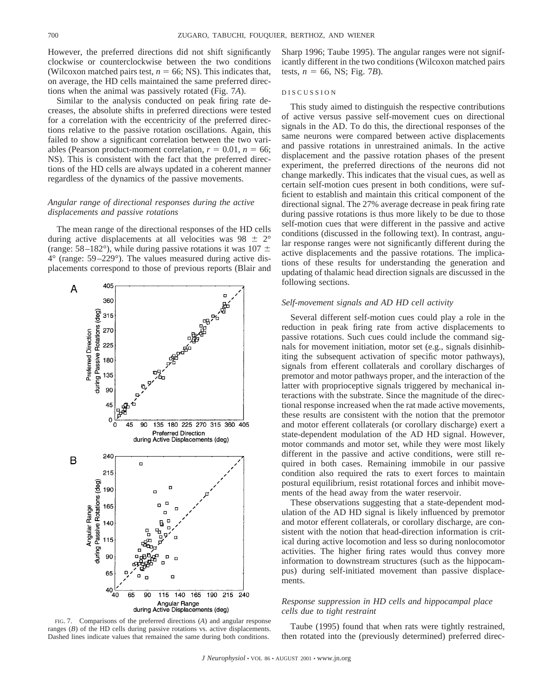However, the preferred directions did not shift significantly clockwise or counterclockwise between the two conditions (Wilcoxon matched pairs test,  $n = 66$ ; NS). This indicates that, on average, the HD cells maintained the same preferred directions when the animal was passively rotated (Fig. 7*A*).

Similar to the analysis conducted on peak firing rate decreases, the absolute shifts in preferred directions were tested for a correlation with the eccentricity of the preferred directions relative to the passive rotation oscillations. Again, this failed to show a significant correlation between the two variables (Pearson product-moment correlation,  $r = 0.01$ ,  $n = 66$ ; NS). This is consistent with the fact that the preferred directions of the HD cells are always updated in a coherent manner regardless of the dynamics of the passive movements.

# *Angular range of directional responses during the active displacements and passive rotations*

The mean range of the directional responses of the HD cells during active displacements at all velocities was  $98 \pm 2^{\circ}$ (range: 58–182°), while during passive rotations it was 107  $\pm$ 4° (range: 59–229°). The values measured during active displacements correspond to those of previous reports (Blair and



FIG. 7. Comparisons of the preferred directions (*A*) and angular response ranges (*B*) of the HD cells during passive rotations vs. active displacements. Dashed lines indicate values that remained the same during both conditions.

Sharp 1996; Taube 1995). The angular ranges were not significantly different in the two conditions (Wilcoxon matched pairs tests,  $n = 66$ , NS; Fig. 7*B*).

#### DISCUSSION

This study aimed to distinguish the respective contributions of active versus passive self-movement cues on directional signals in the AD. To do this, the directional responses of the same neurons were compared between active displacements and passive rotations in unrestrained animals. In the active displacement and the passive rotation phases of the present experiment, the preferred directions of the neurons did not change markedly. This indicates that the visual cues, as well as certain self-motion cues present in both conditions, were sufficient to establish and maintain this critical component of the directional signal. The 27% average decrease in peak firing rate during passive rotations is thus more likely to be due to those self-motion cues that were different in the passive and active conditions (discussed in the following text). In contrast, angular response ranges were not significantly different during the active displacements and the passive rotations. The implications of these results for understanding the generation and updating of thalamic head direction signals are discussed in the following sections.

#### *Self-movement signals and AD HD cell activity*

Several different self-motion cues could play a role in the reduction in peak firing rate from active displacements to passive rotations. Such cues could include the command signals for movement initiation, motor set (e.g., signals disinhibiting the subsequent activation of specific motor pathways), signals from efferent collaterals and corollary discharges of premotor and motor pathways proper, and the interaction of the latter with proprioceptive signals triggered by mechanical interactions with the substrate. Since the magnitude of the directional response increased when the rat made active movements, these results are consistent with the notion that the premotor and motor efferent collaterals (or corollary discharge) exert a state-dependent modulation of the AD HD signal. However, motor commands and motor set, while they were most likely different in the passive and active conditions, were still required in both cases. Remaining immobile in our passive condition also required the rats to exert forces to maintain postural equilibrium, resist rotational forces and inhibit movements of the head away from the water reservoir.

These observations suggesting that a state-dependent modulation of the AD HD signal is likely influenced by premotor and motor efferent collaterals, or corollary discharge, are consistent with the notion that head-direction information is critical during active locomotion and less so during nonlocomotor activities. The higher firing rates would thus convey more information to downstream structures (such as the hippocampus) during self-initiated movement than passive displacements.

# *Response suppression in HD cells and hippocampal place cells due to tight restraint*

Taube (1995) found that when rats were tightly restrained, then rotated into the (previously determined) preferred direc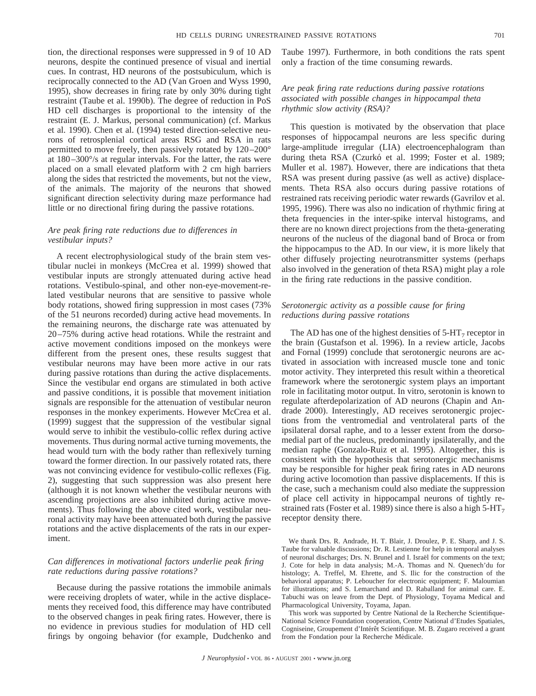tion, the directional responses were suppressed in 9 of 10 AD neurons, despite the continued presence of visual and inertial cues. In contrast, HD neurons of the postsubiculum, which is reciprocally connected to the AD (Van Groen and Wyss 1990, 1995), show decreases in firing rate by only 30% during tight restraint (Taube et al. 1990b). The degree of reduction in PoS HD cell discharges is proportional to the intensity of the restraint (E. J. Markus, personal communication) (cf. Markus et al. 1990). Chen et al. (1994) tested direction-selective neurons of retrosplenial cortical areas RSG and RSA in rats permitted to move freely, then passively rotated by 120–200° at 180–300°/s at regular intervals. For the latter, the rats were placed on a small elevated platform with 2 cm high barriers along the sides that restricted the movements, but not the view, of the animals. The majority of the neurons that showed significant direction selectivity during maze performance had little or no directional firing during the passive rotations.

## *Are peak firing rate reductions due to differences in vestibular inputs?*

A recent electrophysiological study of the brain stem vestibular nuclei in monkeys (McCrea et al. 1999) showed that vestibular inputs are strongly attenuated during active head rotations. Vestibulo-spinal, and other non-eye-movement-related vestibular neurons that are sensitive to passive whole body rotations, showed firing suppression in most cases (73% of the 51 neurons recorded) during active head movements. In the remaining neurons, the discharge rate was attenuated by 20–75% during active head rotations. While the restraint and active movement conditions imposed on the monkeys were different from the present ones, these results suggest that vestibular neurons may have been more active in our rats during passive rotations than during the active displacements. Since the vestibular end organs are stimulated in both active and passive conditions, it is possible that movement initiation signals are responsible for the attenuation of vestibular neuron responses in the monkey experiments. However McCrea et al. (1999) suggest that the suppression of the vestibular signal would serve to inhibit the vestibulo-collic reflex during active movements. Thus during normal active turning movements, the head would turn with the body rather than reflexively turning toward the former direction. In our passively rotated rats, there was not convincing evidence for vestibulo-collic reflexes (Fig. 2), suggesting that such suppression was also present here (although it is not known whether the vestibular neurons with ascending projections are also inhibited during active movements). Thus following the above cited work, vestibular neuronal activity may have been attenuated both during the passive rotations and the active displacements of the rats in our experiment.

# *Can differences in motivational factors underlie peak firing rate reductions during passive rotations?*

Because during the passive rotations the immobile animals were receiving droplets of water, while in the active displacements they received food, this difference may have contributed to the observed changes in peak firing rates. However, there is no evidence in previous studies for modulation of HD cell firings by ongoing behavior (for example, Dudchenko and

Taube 1997). Furthermore, in both conditions the rats spent only a fraction of the time consuming rewards.

# *Are peak firing rate reductions during passive rotations associated with possible changes in hippocampal theta rhythmic slow activity (RSA)?*

This question is motivated by the observation that place responses of hippocampal neurons are less specific during large-amplitude irregular (LIA) electroencephalogram than during theta RSA (Czurkó et al. 1999; Foster et al. 1989; Muller et al. 1987). However, there are indications that theta RSA was present during passive (as well as active) displacements. Theta RSA also occurs during passive rotations of restrained rats receiving periodic water rewards (Gavrilov et al. 1995, 1996). There was also no indication of rhythmic firing at theta frequencies in the inter-spike interval histograms, and there are no known direct projections from the theta-generating neurons of the nucleus of the diagonal band of Broca or from the hippocampus to the AD. In our view, it is more likely that other diffusely projecting neurotransmitter systems (perhaps also involved in the generation of theta RSA) might play a role in the firing rate reductions in the passive condition.

# *Serotonergic activity as a possible cause for firing reductions during passive rotations*

The AD has one of the highest densities of  $5-HT<sub>7</sub>$  receptor in the brain (Gustafson et al. 1996). In a review article, Jacobs and Fornal (1999) conclude that serotonergic neurons are activated in association with increased muscle tone and tonic motor activity. They interpreted this result within a theoretical framework where the serotonergic system plays an important role in facilitating motor output. In vitro, serotonin is known to regulate afterdepolarization of AD neurons (Chapin and Andrade 2000). Interestingly, AD receives serotonergic projections from the ventromedial and ventrolateral parts of the ipsilateral dorsal raphe, and to a lesser extent from the dorsomedial part of the nucleus, predominantly ipsilaterally, and the median raphe (Gonzalo-Ruiz et al. 1995). Altogether, this is consistent with the hypothesis that serotonergic mechanisms may be responsible for higher peak firing rates in AD neurons during active locomotion than passive displacements. If this is the case, such a mechanism could also mediate the suppression of place cell activity in hippocampal neurons of tightly restrained rats (Foster et al. 1989) since there is also a high  $5-HT<sub>7</sub>$ receptor density there.

We thank Drs. R. Andrade, H. T. Blair, J. Droulez, P. E. Sharp, and J. S. Taube for valuable discussions; Dr. R. Lestienne for help in temporal analyses of neuronal discharges; Drs. N. Brunel and I. Israël for comments on the text; J. Cote for help in data analysis; M.-A. Thomas and N. Quenech'du for histology; A. Treffel, M. Ehrette, and S. Ilic for the construction of the behavioral apparatus; P. Leboucher for electronic equipment; F. Maloumian for illustrations; and S. Lemarchand and D. Raballand for animal care. E. Tabuchi was on leave from the Dept. of Physiology, Toyama Medical and Pharmacological University, Toyama, Japan.

This work was supported by Centre National de la Recherche Scientifique-National Science Foundation cooperation, Centre National d'Etudes Spatiales, Cogniseine, Groupement d'Intérêt Scientifique. M. B. Zugaro received a grant from the Fondation pour la Recherche Médicale.